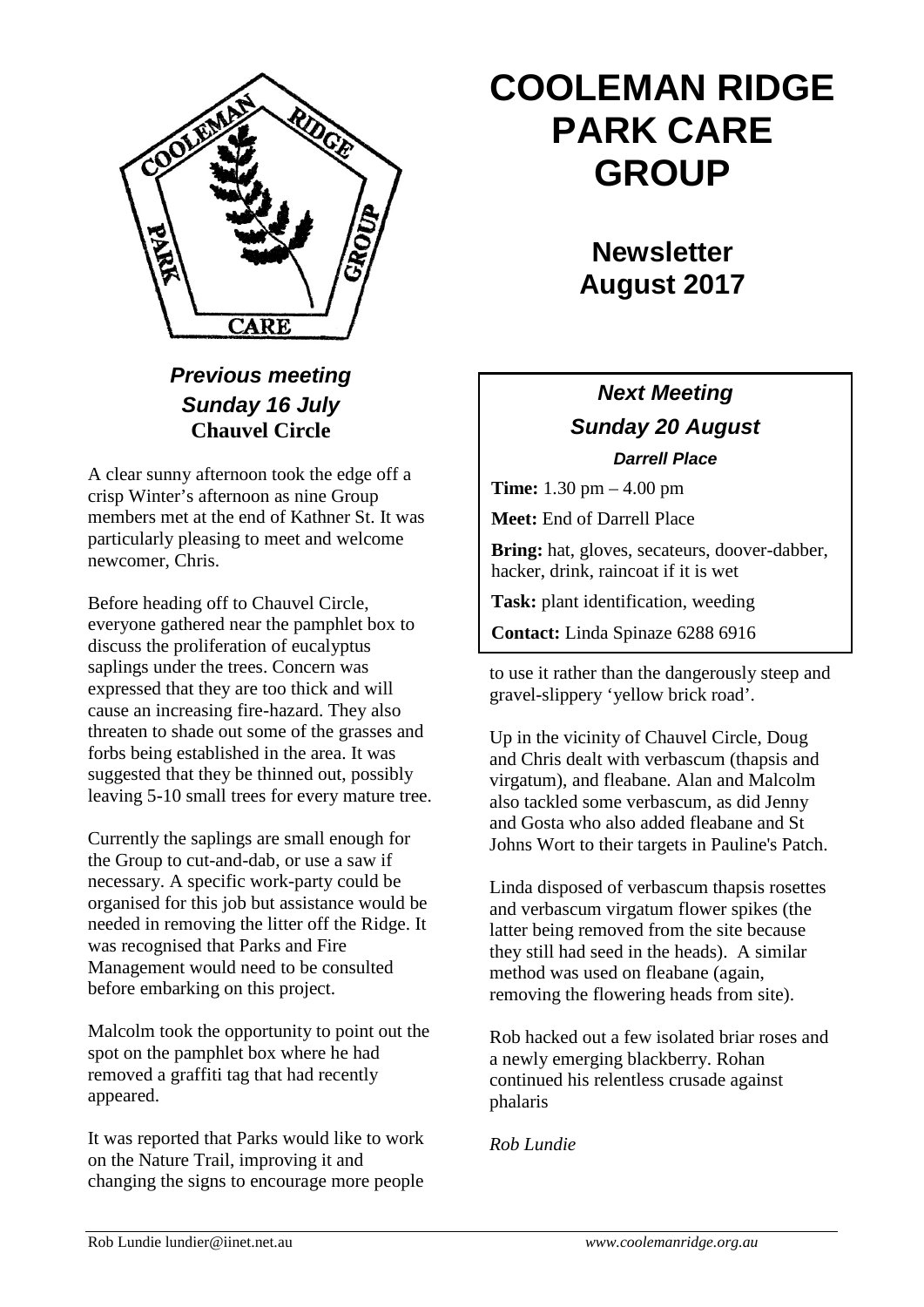

*Previous meeting Sunday 16 July* **Chauvel Circle**

A clear sunny afternoon took the edge off a crisp Winter's afternoon as nine Group members met at the end of Kathner St. It was particularly pleasing to meet and welcome newcomer, Chris.

Before heading off to Chauvel Circle, everyone gathered near the pamphlet box to discuss the proliferation of eucalyptus saplings under the trees. Concern was expressed that they are too thick and will cause an increasing fire-hazard. They also threaten to shade out some of the grasses and forbs being established in the area. It was suggested that they be thinned out, possibly leaving 5-10 small trees for every mature tree.

Currently the saplings are small enough for the Group to cut-and-dab, or use a saw if necessary. A specific work-party could be organised for this job but assistance would be needed in removing the litter off the Ridge. It was recognised that Parks and Fire Management would need to be consulted before embarking on this project.

Malcolm took the opportunity to point out the spot on the pamphlet box where he had removed a graffiti tag that had recently appeared.

It was reported that Parks would like to work on the Nature Trail, improving it and changing the signs to encourage more people

# **COOLEMAN RIDGE PARK CARE GROUP**

**Newsletter August 2017** 

## *Next Meeting Sunday 20 August Darrell Place*

**Time:** 1.30 pm – 4.00 pm

**Meet:** End of Darrell Place

**Bring:** hat, gloves, secateurs, doover-dabber, hacker, drink, raincoat if it is wet

**Task:** plant identification, weeding

**Contact:** Linda Spinaze 6288 6916

to use it rather than the dangerously steep and gravel-slippery 'yellow brick road'.

Up in the vicinity of Chauvel Circle, Doug and Chris dealt with verbascum (thapsis and virgatum), and fleabane. Alan and Malcolm also tackled some verbascum, as did Jenny and Gosta who also added fleabane and St Johns Wort to their targets in Pauline's Patch.

Linda disposed of verbascum thapsis rosettes and verbascum virgatum flower spikes (the latter being removed from the site because they still had seed in the heads). A similar method was used on fleabane (again, removing the flowering heads from site).

Rob hacked out a few isolated briar roses and a newly emerging blackberry. Rohan continued his relentless crusade against phalaris

*Rob Lundie*